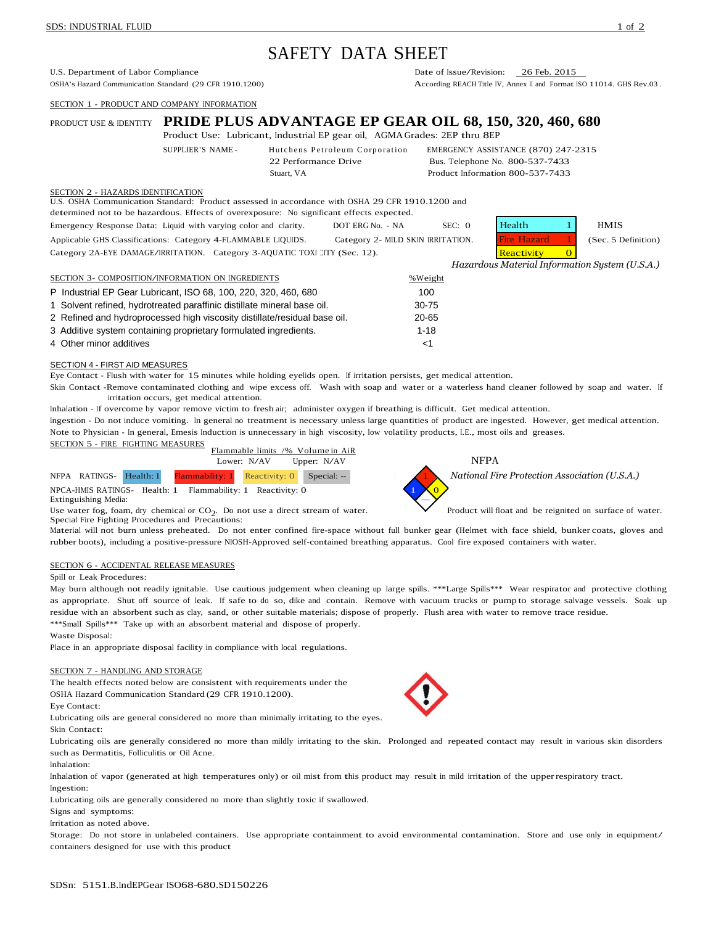# SAFETY DATA SHEET

U.S. Department of Labor Compliance<br>
OSHA's Hazard Communication Standard (29 CFR 1910.1200) Date of Issue/Revision: 26 Feb. 2015<br>
According REACH Title IV. Annex II and Format I

SECTION 1 - PRODUCT AND COMPANY INFORMATION

## PRODUCT USE & IDENTITY **PRIDE PLUS ADVANTAGE EP GEAR OIL 68, 150, 320, 460, 680** Product Use: Lubricant, Industrial EP gear oil, AGMA Grades: 2EP thru 8EP SUPPLIER'S NAME - Hutchens Petroleum Corporation EMERGENCY ASSISTANCE (870) 247-2315 22 Performance Drive Bus. Telephone No. 800-537-7433 Stuart, VA Product Information 800-537-7433

## SECTION 2 - HAZARDS IDENTIFICATION

U.S. OSHA Communication Standard: Product assessed in accordance with OSHA 29 CFR 1910.1200 and

determined not to be hazardous. Effects of overexposure: No significant effects expected.

Emergency Response Data: Liquid with varying color and clarity. DOT ERG No. - NA SEC: 0 Health 1 HMIS Applicable GHS Classifications: Category 4-FLAMMABLE LIQUIDS. Category 2- MILD SKIN IRRITATION. Fire Hazard 1 (Sec. 5 Definition) Category 2A-EYE DAMAGE/IRRITATION. Category 3-AQUATIC TOXI CITY (Sec. 12). Reactivity 0

*Hazardous Material Information System (U.S.A.)*

According REACH Title IV, Annex II and Format ISO 11014. GHS Rev.03.

| SECTION 3- COMPOSITION/INFORMATION ON INGREDIENTS                         | %Weight  |
|---------------------------------------------------------------------------|----------|
| P Industrial EP Gear Lubricant, ISO 68, 100, 220, 320, 460, 680           | 100      |
| 1 Solvent refined, hydrotreated paraffinic distillate mineral base oil.   | 30-75    |
| 2 Refined and hydroprocessed high viscosity distillate/residual base oil. | 20-65    |
| 3 Additive system containing proprietary formulated ingredients.          | $1 - 18$ |
| 4 Other minor additives                                                   | ا>       |

## SECTION 4 - FIRST AID MEASURES

Eye Contact - Flush with water for 15 minutes while holding eyelids open. If irritation persists, get medical attention.

Skin Contact -Remove contaminated clothing and wipe excess off. Wash with soap and water or a waterless hand cleaner followed by soap and water. If irritation occurs, get medical attention.

Inhalation - If overcome by vapor remove victim to fresh air; administer oxygen if breathing is difficult. Get medical attention.

Ingestion - Do not induce vomiting. In general no treatment is necessary unless large quantities of product are ingested. However, get medical attention. Note to Physician - In general, Emesis Induction is unnecessary in high viscosity, low volatility products, I.E., most oils and greases.



 $NPCA$ -HMIS RATINGS- Health: 1 Flammability: 1 Reactivity: 0 Extinguishing Media:

Use water fog, foam, dry chemical or  $CO<sub>2</sub>$ . Do not use a direct stream of water. Special Fire Fighting Procedures and Precautions:



Product will float and be reignited on surface of water.

Material will not burn unless preheated. Do not enter confined fire-space without full bunker gear (Helmet with face shield, bunker coats, gloves and rubber boots), including <sup>a</sup> positive-pressure NIOSH-Approved self-contained breathing apparatus. Cool fire exposed containers with water.

## SECTION 6 - ACCIDENTAL RELEASE MEASURES

## Spill or Leak Procedures:

May burn although not readily ignitable. Use cautious judgement when cleaning up large spills. \*\*\*Large Spills\*\*\* Wear respirator and protective clothing as appropriate. Shut off source of leak. If safe to do so, dike and contain. Remove with vacuum trucks or pump to storage salvage vessels. Soak up residue with an absorbent such as clay, sand, or other suitable materials; dispose of properly. Flush area with water to remove trace residue. \*\*\*Small Spills\*\*\* Take up with an absorbent material and dispose of properly.

#### Waste Disposal:

Place in an appropriate disposal facility in compliance with local regulations.

## SECTION 7 - HANDLING AND STORAGE

The health effects noted below are consistent with requirements under the OSHA Hazard Communication Standard (29 CFR 1910.1200).

Eye Contact:

Lubricating oils are general considered no more than minimally irritating to the eyes. Skin Contact:

Lubricating oils are generally considered no more than mildly irritating to the skin. Prolonged and repeated contact may result in various skin disorders such as Dermatitis, Folliculitis or Oil Acne.

## Inhalation:

Inhalation of vapor (generated at high temperatures only) or oil mist from this product may result in mild irritation of the upperrespiratory tract. Ingestion:

Lubricating oils are generally considered no more than slightly toxic if swallowed.

Signs and symptoms:

Irritation as noted above.

Storage: Do not store in unlabeled containers. Use appropriate containment to avoid environmental contamination. Store and use only in equipment/ containers designed for use with this product